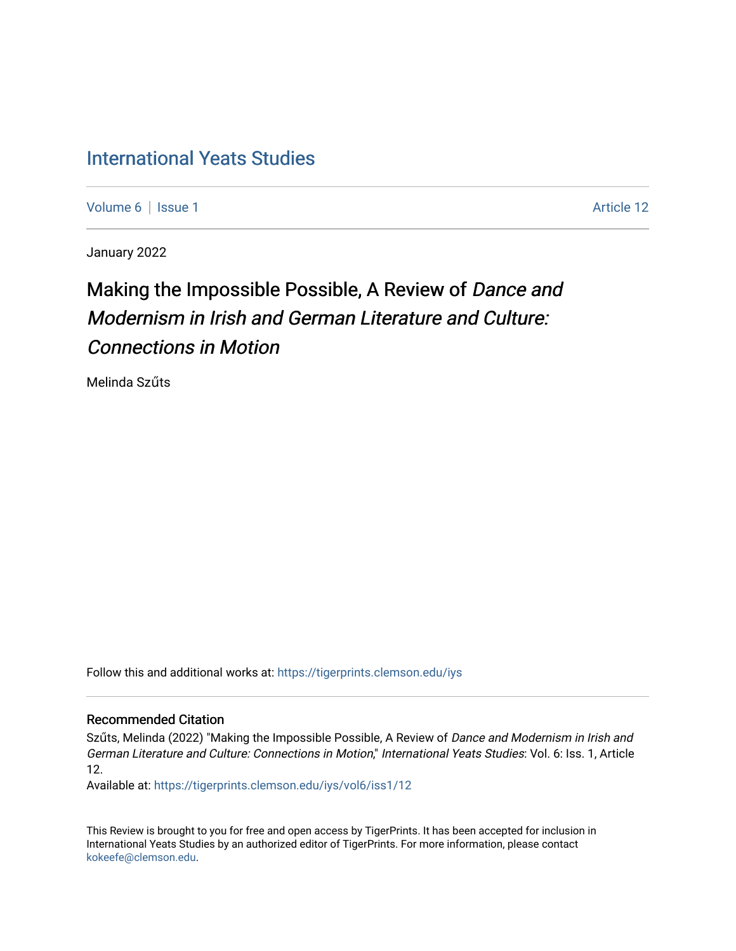## [International Yeats Studies](https://tigerprints.clemson.edu/iys)

[Volume 6](https://tigerprints.clemson.edu/iys/vol6) | [Issue 1](https://tigerprints.clemson.edu/iys/vol6/iss1) Article 12

January 2022

# Making the Impossible Possible, A Review of Dance and Modernism in Irish and German Literature and Culture: Connections in Motion

Melinda Szűts

Follow this and additional works at: [https://tigerprints.clemson.edu/iys](https://tigerprints.clemson.edu/iys?utm_source=tigerprints.clemson.edu%2Fiys%2Fvol6%2Fiss1%2F12&utm_medium=PDF&utm_campaign=PDFCoverPages) 

#### Recommended Citation

Szűts, Melinda (2022) "Making the Impossible Possible, A Review of Dance and Modernism in Irish and German Literature and Culture: Connections in Motion," International Yeats Studies: Vol. 6: Iss. 1, Article 12.

Available at: [https://tigerprints.clemson.edu/iys/vol6/iss1/12](https://tigerprints.clemson.edu/iys/vol6/iss1/12?utm_source=tigerprints.clemson.edu%2Fiys%2Fvol6%2Fiss1%2F12&utm_medium=PDF&utm_campaign=PDFCoverPages) 

This Review is brought to you for free and open access by TigerPrints. It has been accepted for inclusion in International Yeats Studies by an authorized editor of TigerPrints. For more information, please contact [kokeefe@clemson.edu](mailto:kokeefe@clemson.edu).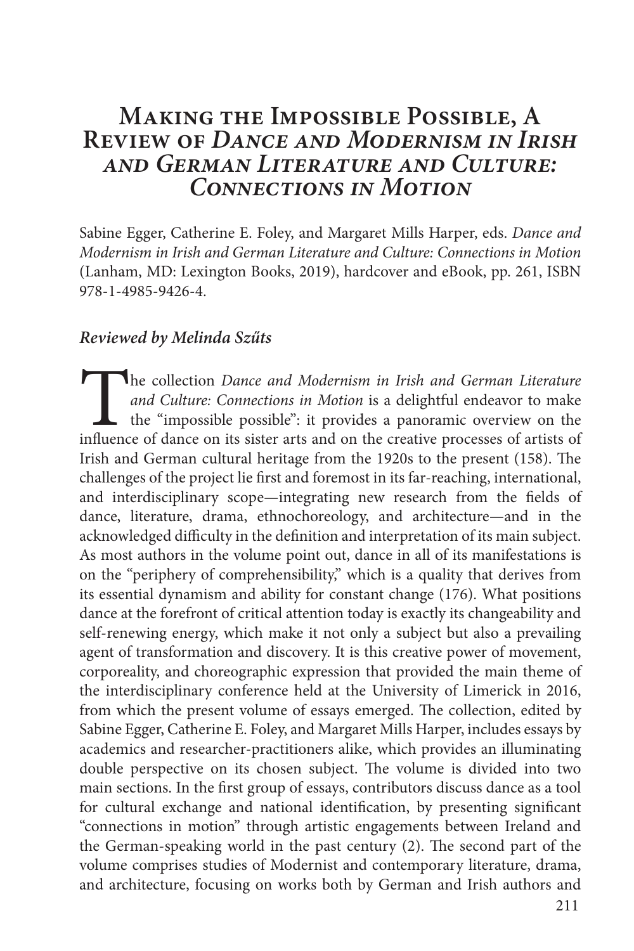### **Making the Impossible Possible, A Review of** *Dance and Modernism in Irish and German Literature and Culture: Connections in Motion*

Sabine Egger, Catherine E. Foley, and Margaret Mills Harper, eds. *Dance and Modernism in Irish and German Literature and Culture: Connections in Motion* (Lanham, MD: Lexington Books, 2019), hardcover and eBook, pp. 261, ISBN 978-1-4985-9426-4.

#### *Reviewed by Melinda Szűts*

The collection *Dance and Modernism in Irish and German Literature and Culture: Connections in Motion* is a delightful endeavor to make the "impossible possible": it provides a panoramic overview on the influence of dance *and Culture: Connections in Motion* is a delightful endeavor to make the "impossible possible": it provides a panoramic overview on the influence of dance on its sister arts and on the creative processes of artists of Irish and German cultural heritage from the 1920s to the present (158). The challenges of the project lie first and foremost in its far-reaching, international, and interdisciplinary scope—integrating new research from the fields of dance, literature, drama, ethnochoreology, and architecture—and in the acknowledged difficulty in the definition and interpretation of its main subject. As most authors in the volume point out, dance in all of its manifestations is on the "periphery of comprehensibility," which is a quality that derives from its essential dynamism and ability for constant change (176). What positions dance at the forefront of critical attention today is exactly its changeability and self-renewing energy, which make it not only a subject but also a prevailing agent of transformation and discovery. It is this creative power of movement, corporeality, and choreographic expression that provided the main theme of the interdisciplinary conference held at the University of Limerick in 2016, from which the present volume of essays emerged. The collection, edited by Sabine Egger, Catherine E. Foley, and Margaret Mills Harper, includes essays by academics and researcher-practitioners alike, which provides an illuminating double perspective on its chosen subject. The volume is divided into two main sections. In the first group of essays, contributors discuss dance as a tool for cultural exchange and national identification, by presenting significant "connections in motion" through artistic engagements between Ireland and the German-speaking world in the past century (2). The second part of the volume comprises studies of Modernist and contemporary literature, drama, and architecture, focusing on works both by German and Irish authors and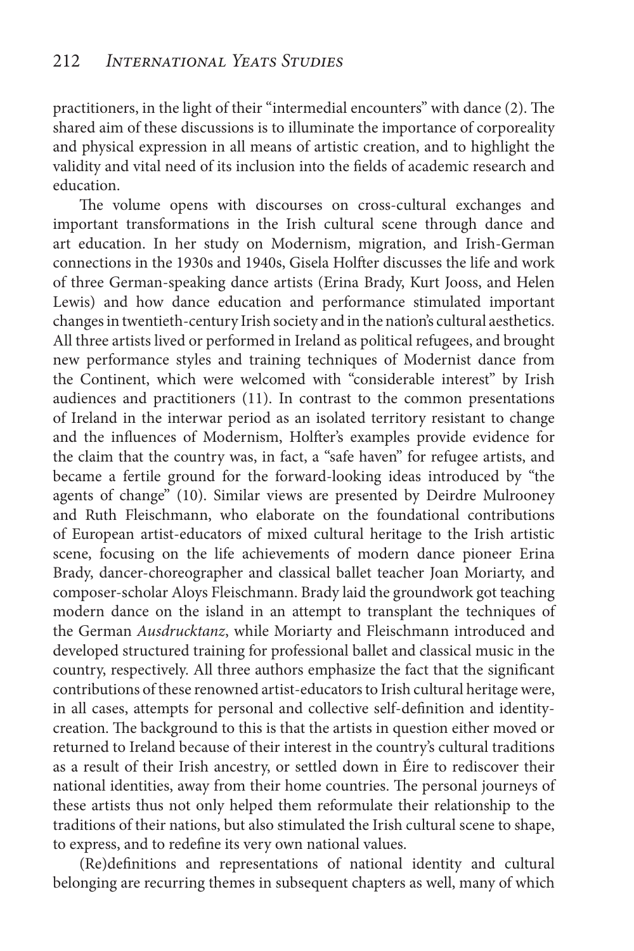practitioners, in the light of their "intermedial encounters" with dance (2). The shared aim of these discussions is to illuminate the importance of corporeality and physical expression in all means of artistic creation, and to highlight the validity and vital need of its inclusion into the fields of academic research and education.

The volume opens with discourses on cross-cultural exchanges and important transformations in the Irish cultural scene through dance and art education. In her study on Modernism, migration, and Irish-German connections in the 1930s and 1940s, Gisela Holfter discusses the life and work of three German-speaking dance artists (Erina Brady, Kurt Jooss, and Helen Lewis) and how dance education and performance stimulated important changes in twentieth-century Irish society and in the nation's cultural aesthetics. All three artists lived or performed in Ireland as political refugees, and brought new performance styles and training techniques of Modernist dance from the Continent, which were welcomed with "considerable interest" by Irish audiences and practitioners (11). In contrast to the common presentations of Ireland in the interwar period as an isolated territory resistant to change and the influences of Modernism, Holfter's examples provide evidence for the claim that the country was, in fact, a "safe haven" for refugee artists, and became a fertile ground for the forward-looking ideas introduced by "the agents of change" (10). Similar views are presented by Deirdre Mulrooney and Ruth Fleischmann, who elaborate on the foundational contributions of European artist-educators of mixed cultural heritage to the Irish artistic scene, focusing on the life achievements of modern dance pioneer Erina Brady, dancer-choreographer and classical ballet teacher Joan Moriarty, and composer-scholar Aloys Fleischmann. Brady laid the groundwork got teaching modern dance on the island in an attempt to transplant the techniques of the German *Ausdrucktanz*, while Moriarty and Fleischmann introduced and developed structured training for professional ballet and classical music in the country, respectively. All three authors emphasize the fact that the significant contributions of these renowned artist-educators to Irish cultural heritage were, in all cases, attempts for personal and collective self-definition and identitycreation. The background to this is that the artists in question either moved or returned to Ireland because of their interest in the country's cultural traditions as a result of their Irish ancestry, or settled down in Éire to rediscover their national identities, away from their home countries. The personal journeys of these artists thus not only helped them reformulate their relationship to the traditions of their nations, but also stimulated the Irish cultural scene to shape, to express, and to redefine its very own national values.

(Re)definitions and representations of national identity and cultural belonging are recurring themes in subsequent chapters as well, many of which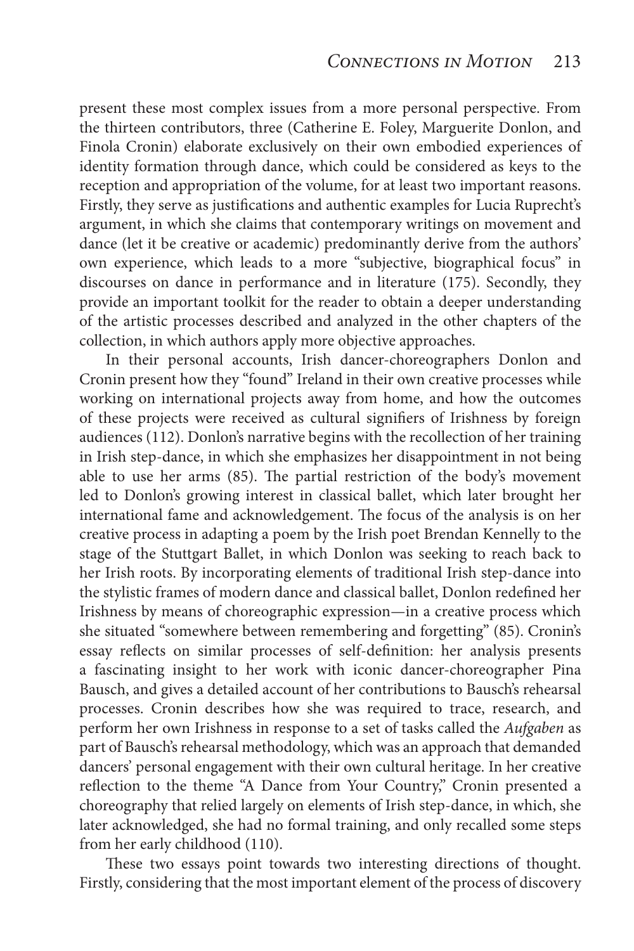present these most complex issues from a more personal perspective. From the thirteen contributors, three (Catherine E. Foley, Marguerite Donlon, and Finola Cronin) elaborate exclusively on their own embodied experiences of identity formation through dance, which could be considered as keys to the reception and appropriation of the volume, for at least two important reasons. Firstly, they serve as justifications and authentic examples for Lucia Ruprecht's argument, in which she claims that contemporary writings on movement and dance (let it be creative or academic) predominantly derive from the authors' own experience, which leads to a more "subjective, biographical focus" in discourses on dance in performance and in literature (175). Secondly, they provide an important toolkit for the reader to obtain a deeper understanding of the artistic processes described and analyzed in the other chapters of the collection, in which authors apply more objective approaches.

In their personal accounts, Irish dancer-choreographers Donlon and Cronin present how they "found" Ireland in their own creative processes while working on international projects away from home, and how the outcomes of these projects were received as cultural signifiers of Irishness by foreign audiences (112). Donlon's narrative begins with the recollection of her training in Irish step-dance, in which she emphasizes her disappointment in not being able to use her arms (85). The partial restriction of the body's movement led to Donlon's growing interest in classical ballet, which later brought her international fame and acknowledgement. The focus of the analysis is on her creative process in adapting a poem by the Irish poet Brendan Kennelly to the stage of the Stuttgart Ballet, in which Donlon was seeking to reach back to her Irish roots. By incorporating elements of traditional Irish step-dance into the stylistic frames of modern dance and classical ballet, Donlon redefined her Irishness by means of choreographic expression—in a creative process which she situated "somewhere between remembering and forgetting" (85). Cronin's essay reflects on similar processes of self-definition: her analysis presents a fascinating insight to her work with iconic dancer-choreographer Pina Bausch, and gives a detailed account of her contributions to Bausch's rehearsal processes. Cronin describes how she was required to trace, research, and perform her own Irishness in response to a set of tasks called the *Aufgaben* as part of Bausch's rehearsal methodology, which was an approach that demanded dancers' personal engagement with their own cultural heritage. In her creative reflection to the theme "A Dance from Your Country," Cronin presented a choreography that relied largely on elements of Irish step-dance, in which, she later acknowledged, she had no formal training, and only recalled some steps from her early childhood (110).

These two essays point towards two interesting directions of thought. Firstly, considering that the most important element of the process of discovery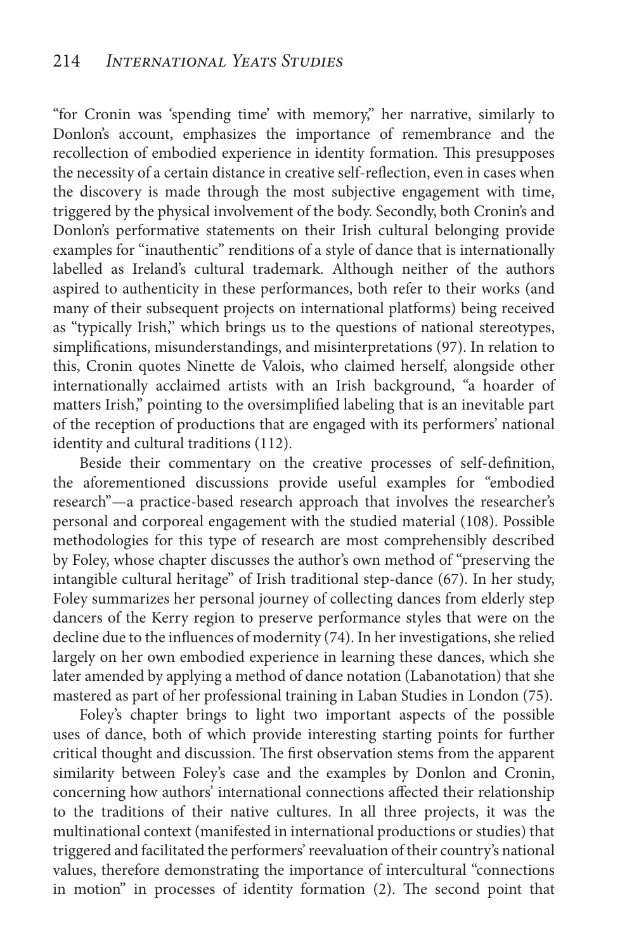"for Cronin was 'spending time' with memory," her narrative, similarly to Donlon's account, emphasizes the importance of remembrance and the recollection of embodied experience in identity formation. This presupposes the necessity of a certain distance in creative self-reflection, even in cases when the discovery is made through the most subjective engagement with time, triggered by the physical involvement of the body. Secondly, both Cronin's and Donlon's performative statements on their Irish cultural belonging provide examples for "inauthentic" renditions of a style of dance that is internationally labelled as Ireland's cultural trademark. Although neither of the authors aspired to authenticity in these performances, both refer to their works (and many of their subsequent projects on international platforms) being received as "typically Irish," which brings us to the questions of national stereotypes, simplifications, misunderstandings, and misinterpretations (97). In relation to this, Cronin quotes Ninette de Valois, who claimed herself, alongside other internationally acclaimed artists with an Irish background, "a hoarder of matters Irish," pointing to the oversimplified labeling that is an inevitable part of the reception of productions that are engaged with its performers' national identity and cultural traditions (112).

Beside their commentary on the creative processes of self-definition, the aforementioned discussions provide useful examples for "embodied research"—a practice-based research approach that involves the researcher's personal and corporeal engagement with the studied material (108). Possible methodologies for this type of research are most comprehensibly described by Foley, whose chapter discusses the author's own method of "preserving the intangible cultural heritage" of Irish traditional step-dance (67). In her study, Foley summarizes her personal journey of collecting dances from elderly step dancers of the Kerry region to preserve performance styles that were on the decline due to the influences of modernity (74). In her investigations, she relied largely on her own embodied experience in learning these dances, which she later amended by applying a method of dance notation (Labanotation) that she mastered as part of her professional training in Laban Studies in London (75).

Foley's chapter brings to light two important aspects of the possible uses of dance, both of which provide interesting starting points for further critical thought and discussion. The first observation stems from the apparent similarity between Foley's case and the examples by Donlon and Cronin, concerning how authors' international connections affected their relationship to the traditions of their native cultures. In all three projects, it was the multinational context (manifested in international productions or studies) that triggered and facilitated the performers' reevaluation of their country's national values, therefore demonstrating the importance of intercultural "connections in motion" in processes of identity formation (2). The second point that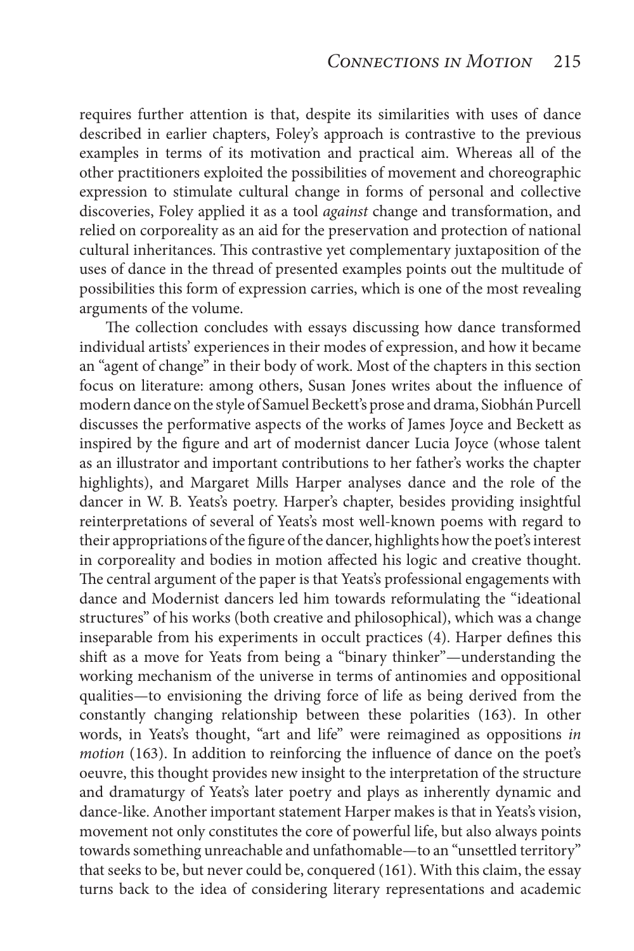requires further attention is that, despite its similarities with uses of dance described in earlier chapters, Foley's approach is contrastive to the previous examples in terms of its motivation and practical aim. Whereas all of the other practitioners exploited the possibilities of movement and choreographic expression to stimulate cultural change in forms of personal and collective discoveries, Foley applied it as a tool *against* change and transformation, and relied on corporeality as an aid for the preservation and protection of national cultural inheritances. This contrastive yet complementary juxtaposition of the uses of dance in the thread of presented examples points out the multitude of possibilities this form of expression carries, which is one of the most revealing arguments of the volume.

The collection concludes with essays discussing how dance transformed individual artists' experiences in their modes of expression, and how it became an "agent of change" in their body of work. Most of the chapters in this section focus on literature: among others, Susan Jones writes about the influence of modern dance on the style of Samuel Beckett's prose and drama, Siobhán Purcell discusses the performative aspects of the works of James Joyce and Beckett as inspired by the figure and art of modernist dancer Lucia Joyce (whose talent as an illustrator and important contributions to her father's works the chapter highlights), and Margaret Mills Harper analyses dance and the role of the dancer in W. B. Yeats's poetry. Harper's chapter, besides providing insightful reinterpretations of several of Yeats's most well-known poems with regard to their appropriations of the figure of the dancer, highlights how the poet's interest in corporeality and bodies in motion affected his logic and creative thought. The central argument of the paper is that Yeats's professional engagements with dance and Modernist dancers led him towards reformulating the "ideational structures" of his works (both creative and philosophical), which was a change inseparable from his experiments in occult practices (4). Harper defines this shift as a move for Yeats from being a "binary thinker"—understanding the working mechanism of the universe in terms of antinomies and oppositional qualities—to envisioning the driving force of life as being derived from the constantly changing relationship between these polarities (163). In other words, in Yeats's thought, "art and life" were reimagined as oppositions *in motion* (163). In addition to reinforcing the influence of dance on the poet's oeuvre, this thought provides new insight to the interpretation of the structure and dramaturgy of Yeats's later poetry and plays as inherently dynamic and dance-like. Another important statement Harper makes is that in Yeats's vision, movement not only constitutes the core of powerful life, but also always points towards something unreachable and unfathomable—to an "unsettled territory" that seeks to be, but never could be, conquered (161). With this claim, the essay turns back to the idea of considering literary representations and academic